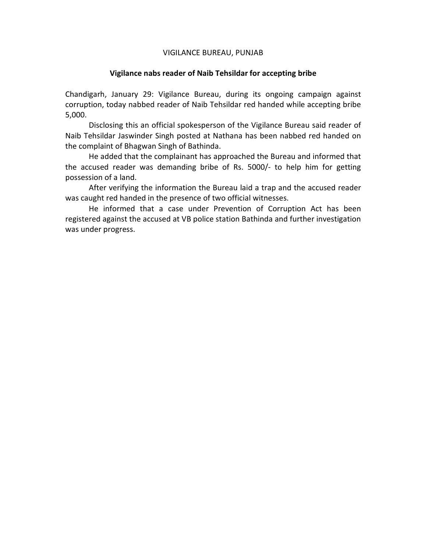## VIGILANCE BUREAU, PUNJAB

## **Vigilance nabs reader of Naib Tehsildar for accepting bribe**

Chandigarh, January 29: Vigilance Bureau, during its ongoing campaign against corruption, today nabbed reader of Naib Tehsildar red handed while accepting bribe 5,000.

Disclosing this an official spokesperson of the Vigilance Bureau said reader of Naib Tehsildar Jaswinder Singh posted at Nathana has been nabbed red handed on the complaint of Bhagwan Singh of Bathinda.

He added that the complainant has approached the Bureau and informed that the accused reader was demanding bribe of Rs. 5000/- to help him for getting possession of a land.

After verifying the information the Bureau laid a trap and the accused reader was caught red handed in the presence of two official witnesses.

 He informed that a case under Prevention of Corruption Act has been registered against the accused at VB police station Bathinda and further investigation was under progress.